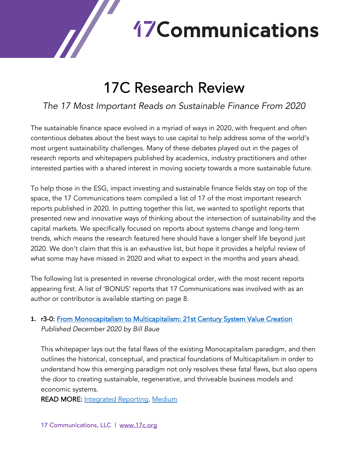# **17 Communications**

# 17C Research Review

# *The 17 Most Important Reads on Sustainable Finance From 2020*

The sustainable finance space evolved in a myriad of ways in 2020, with frequent and often contentious debates about the best ways to use capital to help address some of the world's most urgent sustainability challenges. Many of these debates played out in the pages of research reports and whitepapers published by academics, industry practitioners and other interested parties with a shared interest in moving society towards a more sustainable future.

To help those in the ESG, impact investing and sustainable finance fields stay on top of the space, the 17 Communications team compiled a list of 17 of the most important research reports published in 2020. In putting together this list, we wanted to spotlight reports that presented new and innovative ways of thinking about the intersection of sustainability and the capital markets. We specifically focused on reports about systems change and long-term trends, which means the research featured here should have a longer shelf life beyond just 2020. We don't claim that this is an exhaustive list, but hope it provides a helpful review of what some may have missed in 2020 and what to expect in the months and years ahead.

The following list is presented in reverse chronological order, with the most recent reports appearing first. A list of 'BONUS' reports that 17 Communications was involved with as an author or contributor is available starting on page 8.

#### **1.** r3-0: From Monocapitalism to Multicapitalism: 21st Century System Value Creation *Published December 2020 by Bill Baue*

This whitepaper lays out the fatal flaws of the existing Monocapitalism paradigm, and then outlines the historical, conceptual, and practical foundations of Multicapitalism in order to understand how this emerging paradigm not only resolves these fatal flaws, but also opens the door to creating sustainable, regenerative, and thriveable business models and economic systems.

**READ MORE: Integrated Reporting, Medium** 

 $\sqrt{}$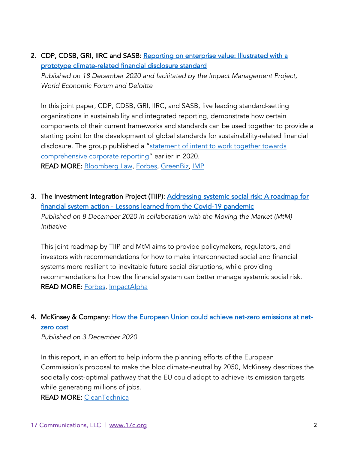2. CDP, CDSB, GRI, IIRC and SASB: Reporting on enterprise value: Illustrated with a prototype climate-related financial disclosure standard

*Published on 18 December 2020 and facilitated by the Impact Management Project, World Economic Forum and Deloitte*

In this joint paper, CDP, CDSB, GRI, IIRC, and SASB, five leading standard-setting organizations in sustainability and integrated reporting, demonstrate how certain components of their current frameworks and standards can be used together to provide a starting point for the development of global standards for sustainability-related financial disclosure. The group published a "statement of intent to work together towards comprehensive corporate reporting" earlier in 2020. READ MORE: Bloomberg Law, Forbes, GreenBiz, IMP

3. The Investment Integration Project (TIIP): Addressing systemic social risk: A roadmap for financial system action - Lessons learned from the Covid-19 pandemic *Published on 8 December 2020 in collaboration with the Moving the Market (MtM) Initiative*

This joint roadmap by TIIP and MtM aims to provide policymakers, regulators, and investors with recommendations for how to make interconnected social and financial systems more resilient to inevitable future social disruptions, while providing recommendations for how the financial system can better manage systemic social risk. READ MORE: Forbes, ImpactAlpha

4. McKinsey & Company: How the European Union could achieve net-zero emissions at netzero cost

*Published on 3 December 2020*

In this report, in an effort to help inform the planning efforts of the European Commission's proposal to make the bloc climate-neutral by 2050, McKinsey describes the societally cost-optimal pathway that the EU could adopt to achieve its emission targets while generating millions of jobs.

READ MORE: CleanTechnica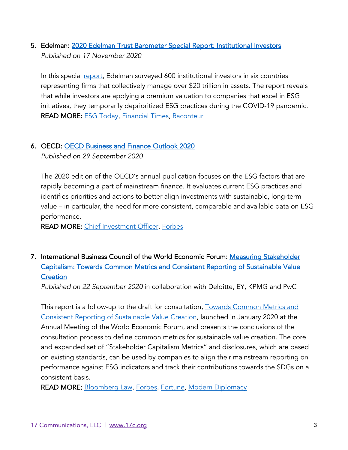#### 5. Edelman: 2020 Edelman Trust Barometer Special Report: Institutional Investors *Published on 17 November 2020*

In this special report, Edelman surveyed 600 institutional investors in six countries representing firms that collectively manage over \$20 trillion in assets. The report reveals that while investors are applying a premium valuation to companies that excel in ESG initiatives, they temporarily deprioritized ESG practices during the COVID-19 pandemic. READ MORE: ESG Today, Financial Times, Raconteur

#### 6. OECD: OECD Business and Finance Outlook 2020

*Published on 29 September 2020*

The 2020 edition of the OECD's annual publication focuses on the ESG factors that are rapidly becoming a part of mainstream finance. It evaluates current ESG practices and identifies priorities and actions to better align investments with sustainable, long-term value – in particular, the need for more consistent, comparable and available data on ESG performance.

READ MORE: Chief Investment Officer, Forbes

7. International Business Council of the World Economic Forum: Measuring Stakeholder Capitalism: Towards Common Metrics and Consistent Reporting of Sustainable Value **Creation** 

*Published on 22 September 2020* in collaboration with Deloitte, EY, KPMG and PwC

This report is a follow-up to the draft for consultation, Towards Common Metrics and Consistent Reporting of Sustainable Value Creation, launched in January 2020 at the Annual Meeting of the World Economic Forum, and presents the conclusions of the consultation process to define common metrics for sustainable value creation. The core and expanded set of "Stakeholder Capitalism Metrics" and disclosures, which are based on existing standards, can be used by companies to align their mainstream reporting on performance against ESG indicators and track their contributions towards the SDGs on a consistent basis.

READ MORE: Bloomberg Law, Forbes, Fortune, Modern Diplomacy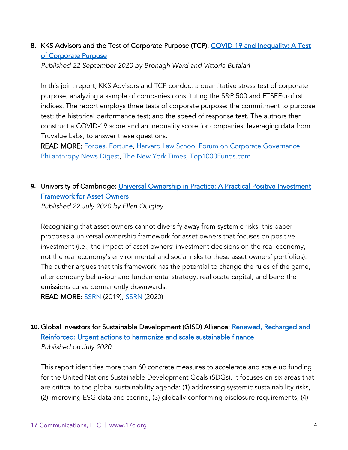#### 8. KKS Advisors and the Test of Corporate Purpose (TCP): COVID-19 and Inequality: A Test of Corporate Purpose

*Published 22 September 2020 by Bronagh Ward and Vittoria Bufalari* 

In this joint report, KKS Advisors and TCP conduct a quantitative stress test of corporate purpose, analyzing a sample of companies constituting the S&P 500 and FTSEEurofirst indices. The report employs three tests of corporate purpose: the commitment to purpose test; the historical performance test; and the speed of response test. The authors then construct a COVID-19 score and an Inequality score for companies, leveraging data from Truvalue Labs, to answer these questions.

READ MORE: Forbes, Fortune, Harvard Law School Forum on Corporate Governance, Philanthropy News Digest, The New York Times, Top1000Funds.com

#### **9.** University of Cambridge: Universal Ownership in Practice: A Practical Positive Investment Framework for Asset Owners

*Published 22 July 2020 by Ellen Quigley*

Recognizing that asset owners cannot diversify away from systemic risks, this paper proposes a universal ownership framework for asset owners that focuses on positive investment (i.e., the impact of asset owners' investment decisions on the real economy, not the real economy's environmental and social risks to these asset owners' portfolios). The author argues that this framework has the potential to change the rules of the game, alter company behaviour and fundamental strategy, reallocate capital, and bend the emissions curve permanently downwards.

READ MORE: SSRN (2019), SSRN (2020)

#### **10.** Global Investors for Sustainable Development (GISD) Alliance: Renewed, Recharged and Reinforced: Urgent actions to harmonize and scale sustainable finance *Published on July 2020*

This report identifies more than 60 concrete measures to accelerate and scale up funding for the United Nations Sustainable Development Goals (SDGs). It focuses on six areas that are critical to the global sustainability agenda: (1) addressing systemic sustainability risks, (2) improving ESG data and scoring, (3) globally conforming disclosure requirements, (4)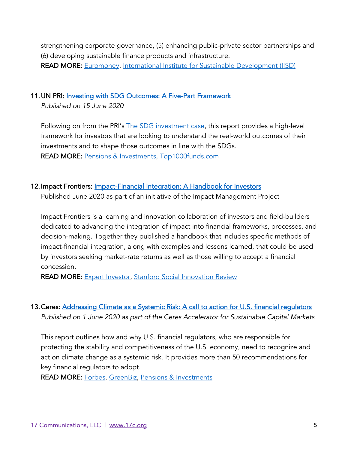strengthening corporate governance, (5) enhancing public-private sector partnerships and (6) developing sustainable finance products and infrastructure. READ MORE: Euromoney, International Institute for Sustainable Development (IISD)

#### 11. UN PRI: Investing with SDG Outcomes: A Five-Part Framework

*Published on 15 June 2020*

Following on from the PRI's The SDG investment case, this report provides a high-level framework for investors that are looking to understand the real-world outcomes of their investments and to shape those outcomes in line with the SDGs. READ MORE: Pensions & Investments, Top1000funds.com

#### 12. Impact Frontiers: <u>Impact-Financial Integration: A Handbook for Investors</u>

Published June 2020 as part of an initiative of the Impact Management Project

Impact Frontiers is a learning and innovation collaboration of investors and field-builders dedicated to advancing the integration of impact into financial frameworks, processes, and decision-making. Together they published a handbook that includes specific methods of impact-financial integration, along with examples and lessons learned, that could be used by investors seeking market-rate returns as well as those willing to accept a financial concession.

READ MORE: Expert Investor, Stanford Social Innovation Review

# 13. Ceres: Addressing Climate as a Systemic Risk: A call to action for U.S. financial regulators

*Published on 1 June 2020 as part of the Ceres Accelerator for Sustainable Capital Markets*

This report outlines how and why U.S. financial regulators, who are responsible for protecting the stability and competitiveness of the U.S. economy, need to recognize and act on climate change as a systemic risk. It provides more than 50 recommendations for key financial regulators to adopt.

READ MORE: Forbes, GreenBiz, Pensions & Investments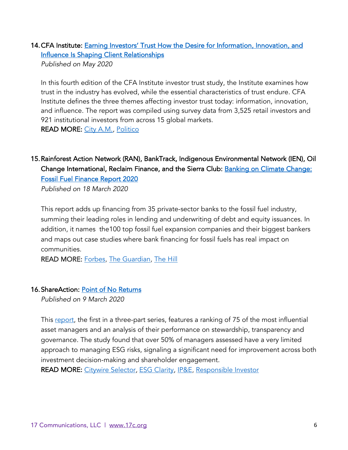## 14. CFA Institute: Earning Investors' Trust How the Desire for Information, Innovation, and Influence Is Shaping Client Relationships

*Published on May 2020*

In this fourth edition of the CFA Institute investor trust study, the Institute examines how trust in the industry has evolved, while the essential characteristics of trust endure. CFA Institute defines the three themes affecting investor trust today: information, innovation, and influence. The report was compiled using survey data from 3,525 retail investors and 921 institutional investors from across 15 global markets. READ MORE: City A.M., Politico

## 15.Rainforest Action Network (RAN), BankTrack, Indigenous Environmental Network (IEN), Oil Change International, Reclaim Finance, and the Sierra Club: Banking on Climate Change: Fossil Fuel Finance Report 2020

*Published on 18 March 2020* 

This report adds up financing from 35 private-sector banks to the fossil fuel industry, summing their leading roles in lending and underwriting of debt and equity issuances. In addition, it names the100 top fossil fuel expansion companies and their biggest bankers and maps out case studies where bank financing for fossil fuels has real impact on communities.

READ MORE: Forbes, The Guardian, The Hill

#### 16.ShareAction: Point of No Returns

*Published on 9 March 2020* 

This report, the first in a three-part series, features a ranking of 75 of the most influential asset managers and an analysis of their performance on stewardship, transparency and governance. The study found that over 50% of managers assessed have a very limited approach to managing ESG risks, signaling a significant need for improvement across both investment decision-making and shareholder engagement.

READ MORE: Citywire Selector, ESG Clarity, IP&E, Responsible Investor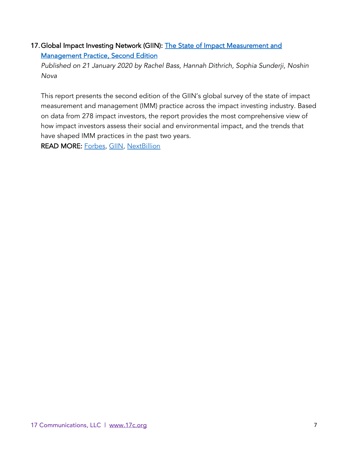#### 17. Global Impact Investing Network (GIIN): The State of Impact Measurement and Management Practice, Second Edition

*Published on 21 January 2020 by Rachel Bass, Hannah Dithrich, Sophia Sunderji, Noshin Nova*

This report presents the second edition of the GIIN's global survey of the state of impact measurement and management (IMM) practice across the impact investing industry. Based on data from 278 impact investors, the report provides the most comprehensive view of how impact investors assess their social and environmental impact, and the trends that have shaped IMM practices in the past two years.

READ MORE: Forbes, GIIN, NextBillion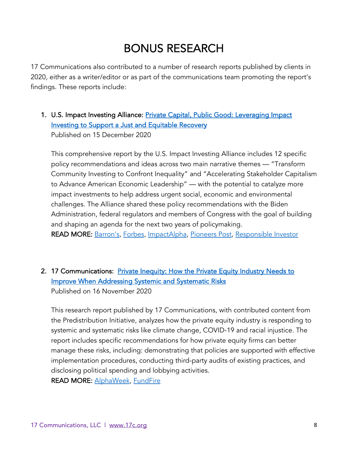# BONUS RESEARCH

17 Communications also contributed to a number of research reports published by clients in 2020, either as a writer/editor or as part of the communications team promoting the report's findings. These reports include:

1. U.S. Impact Investing Alliance: Private Capital, Public Good: Leveraging Impact Investing to Support a Just and Equitable Recovery Published on 15 December 2020

This comprehensive report by the U.S. Impact Investing Alliance includes 12 specific policy recommendations and ideas across two main narrative themes — "Transform Community Investing to Confront Inequality" and "Accelerating Stakeholder Capitalism to Advance American Economic Leadership" — with the potential to catalyze more impact investments to help address urgent social, economic and environmental challenges. The Alliance shared these policy recommendations with the Biden Administration, federal regulators and members of Congress with the goal of building and shaping an agenda for the next two years of policymaking. READ MORE: Barron's, Forbes, ImpactAlpha, Pioneers Post, Responsible Investor

#### 2. 17 Communications: Private Inequity: How the Private Equity Industry Needs to Improve When Addressing Systemic and Systematic Risks

Published on 16 November 2020

This research report published by 17 Communications, with contributed content from the Predistribution Initiative, analyzes how the private equity industry is responding to systemic and systematic risks like climate change, COVID-19 and racial injustice. The report includes specific recommendations for how private equity firms can better manage these risks, including: demonstrating that policies are supported with effective implementation procedures, conducting third-party audits of existing practices, and disclosing political spending and lobbying activities.

READ MORE: AlphaWeek, FundFire